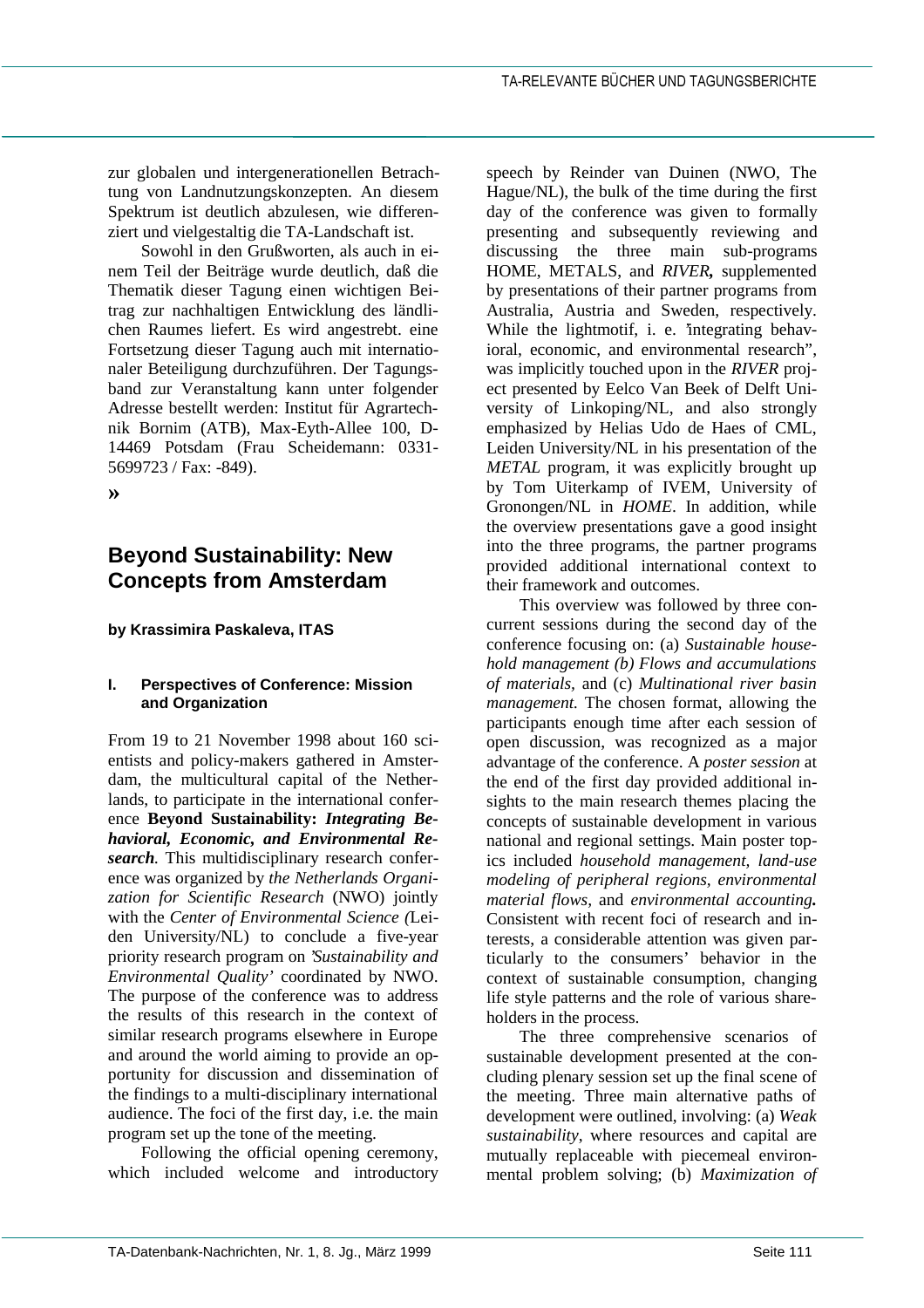zur globalen und intergenerationellen Betrachtung von Landnutzungskonzepten. An diesem Spektrum ist deutlich abzulesen, wie differenziert und vielgestaltig die TA-Landschaft ist.

Sowohl in den Grußworten, als auch in einem Teil der Beiträge wurde deutlich, daß die Thematik dieser Tagung einen wichtigen Beitrag zur nachhaltigen Entwicklung des ländlichen Raumes liefert. Es wird angestrebt. eine Fortsetzung dieser Tagung auch mit internationaler Beteiligung durchzuführen. Der Tagungsband zur Veranstaltung kann unter folgender Adresse bestellt werden: Institut für Agrartechnik Bornim (ATB), Max-Eyth-Allee 100, D-14469 Potsdam (Frau Scheidemann: 0331- 5699723 / Fax: -849).

**»**

# **Beyond Sustainability: New Concepts from Amsterdam**

# **by Krassimira Paskaleva, ITAS**

#### **I. Perspectives of Conference: Mission and Organization**

From 19 to 21 November 1998 about 160 scientists and policy-makers gathered in Amsterdam, the multicultural capital of the Netherlands, to participate in the international conference **Beyond Sustainability:** *Integrating Behavioral, Economic, and Environmental Research.* This multidisciplinary research conference was organized by *the Netherlands Organization for Scientific Research* (NWO) jointly with the *Center of Environmental Science (*Leiden University/NL) to conclude a five-year priority research program on '*Sustainability and Environmental Quality'* coordinated by NWO. The purpose of the conference was to address the results of this research in the context of similar research programs elsewhere in Europe and around the world aiming to provide an opportunity for discussion and dissemination of the findings to a multi-disciplinary international audience. The foci of the first day, i.e. the main program set up the tone of the meeting.

Following the official opening ceremony, which included welcome and introductory speech by Reinder van Duinen (NWO, The Hague/NL), the bulk of the time during the first day of the conference was given to formally presenting and subsequently reviewing and discussing the three main sub-programs HOME, METALS, and *RIVER,* supplemented by presentations of their partner programs from Australia, Austria and Sweden, respectively. While the lightmotif, i. e. 'integrating behavioral, economic, and environmental research", was implicitly touched upon in the *RIVER* project presented by Eelco Van Beek of Delft University of Linkoping/NL, and also strongly emphasized by Helias Udo de Haes of CML, Leiden University/NL in his presentation of the *METAL* program, it was explicitly brought up by Tom Uiterkamp of IVEM, University of Gronongen/NL in *HOME*. In addition, while the overview presentations gave a good insight into the three programs, the partner programs provided additional international context to their framework and outcomes.

This overview was followed by three concurrent sessions during the second day of the conference focusing on: (a) *Sustainable household management (b) Flows and accumulations of materials,* and (c) *Multinational river basin management.* The chosen format, allowing the participants enough time after each session of open discussion, was recognized as a major advantage of the conference. A *poster session* at the end of the first day provided additional insights to the main research themes placing the concepts of sustainable development in various national and regional settings. Main poster topics included *household management, land-use modeling of peripheral regions, environmental material flows,* and *environmental accounting.* Consistent with recent foci of research and interests, a considerable attention was given particularly to the consumers' behavior in the context of sustainable consumption, changing life style patterns and the role of various shareholders in the process.

The three comprehensive scenarios of sustainable development presented at the concluding plenary session set up the final scene of the meeting. Three main alternative paths of development were outlined, involving: (a) *Weak sustainability*, where resources and capital are mutually replaceable with piecemeal environmental problem solving; (b) *Maximization of*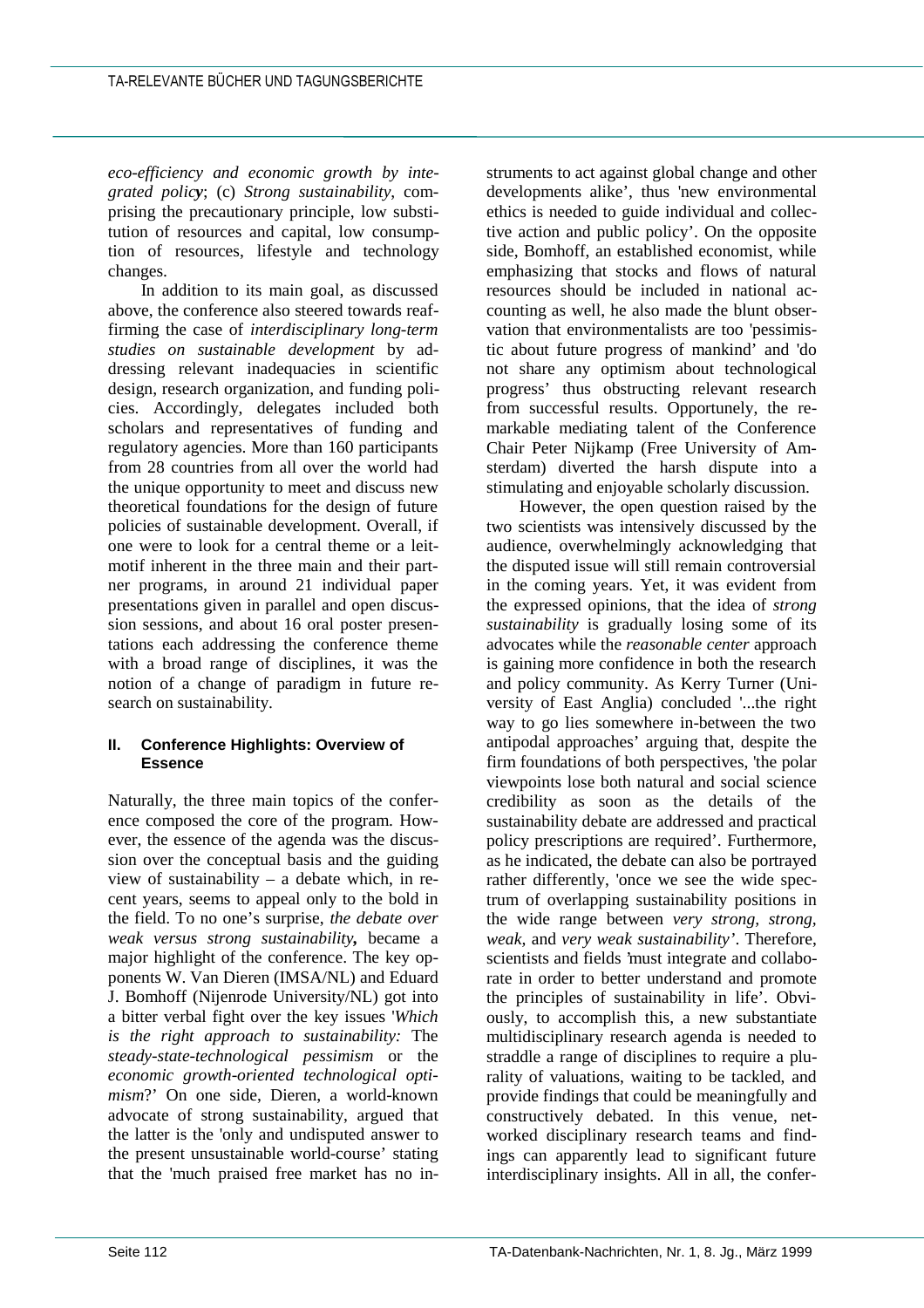*eco-efficiency and economic growth by integrated policy*; (c) *Strong sustainability*, comprising the precautionary principle, low substitution of resources and capital, low consumption of resources, lifestyle and technology changes.

In addition to its main goal, as discussed above, the conference also steered towards reaffirming the case of *interdisciplinary long-term studies on sustainable development* by addressing relevant inadequacies in scientific design, research organization, and funding policies. Accordingly, delegates included both scholars and representatives of funding and regulatory agencies. More than 160 participants from 28 countries from all over the world had the unique opportunity to meet and discuss new theoretical foundations for the design of future policies of sustainable development. Overall, if one were to look for a central theme or a leitmotif inherent in the three main and their partner programs, in around 21 individual paper presentations given in parallel and open discussion sessions, and about 16 oral poster presentations each addressing the conference theme with a broad range of disciplines, it was the notion of a change of paradigm in future research on sustainability.

## **II. Conference Highlights: Overview of Essence**

Naturally, the three main topics of the conference composed the core of the program. However, the essence of the agenda was the discussion over the conceptual basis and the guiding view of sustainability – a debate which, in recent years, seems to appeal only to the bold in the field. To no one's surprise, *the debate over weak versus strong sustainability,* became a major highlight of the conference. The key opponents W. Van Dieren (IMSA/NL) and Eduard J. Bomhoff (Nijenrode University/NL) got into a bitter verbal fight over the key issues '*Which is the right approach to sustainability:* The *steady-state-technological pessimism* or the *economic growth-oriented technological optimism*?' On one side, Dieren, a world-known advocate of strong sustainability, argued that the latter is the 'only and undisputed answer to the present unsustainable world-course' stating that the 'much praised free market has no instruments to act against global change and other developments alike', thus 'new environmental ethics is needed to guide individual and collective action and public policy'. On the opposite side, Bomhoff, an established economist, while emphasizing that stocks and flows of natural resources should be included in national accounting as well, he also made the blunt observation that environmentalists are too 'pessimistic about future progress of mankind' and 'do not share any optimism about technological progress' thus obstructing relevant research from successful results. Opportunely, the remarkable mediating talent of the Conference Chair Peter Nijkamp (Free University of Amsterdam) diverted the harsh dispute into a stimulating and enjoyable scholarly discussion.

However, the open question raised by the two scientists was intensively discussed by the audience, overwhelmingly acknowledging that the disputed issue will still remain controversial in the coming years. Yet, it was evident from the expressed opinions, that the idea of *strong sustainability* is gradually losing some of its advocates while the *reasonable center* approach is gaining more confidence in both the research and policy community. As Kerry Turner (University of East Anglia) concluded '...the right way to go lies somewhere in-between the two antipodal approaches' arguing that, despite the firm foundations of both perspectives, 'the polar viewpoints lose both natural and social science credibility as soon as the details of the sustainability debate are addressed and practical policy prescriptions are required'. Furthermore, as he indicated, the debate can also be portrayed rather differently, 'once we see the wide spectrum of overlapping sustainability positions in the wide range between *very strong, strong, weak,* and *very weak sustainability'*. Therefore, scientists and fields 'must integrate and collaborate in order to better understand and promote the principles of sustainability in life'. Obviously, to accomplish this, a new substantiate multidisciplinary research agenda is needed to straddle a range of disciplines to require a plurality of valuations, waiting to be tackled, and provide findings that could be meaningfully and constructively debated. In this venue, networked disciplinary research teams and findings can apparently lead to significant future interdisciplinary insights. All in all, the confer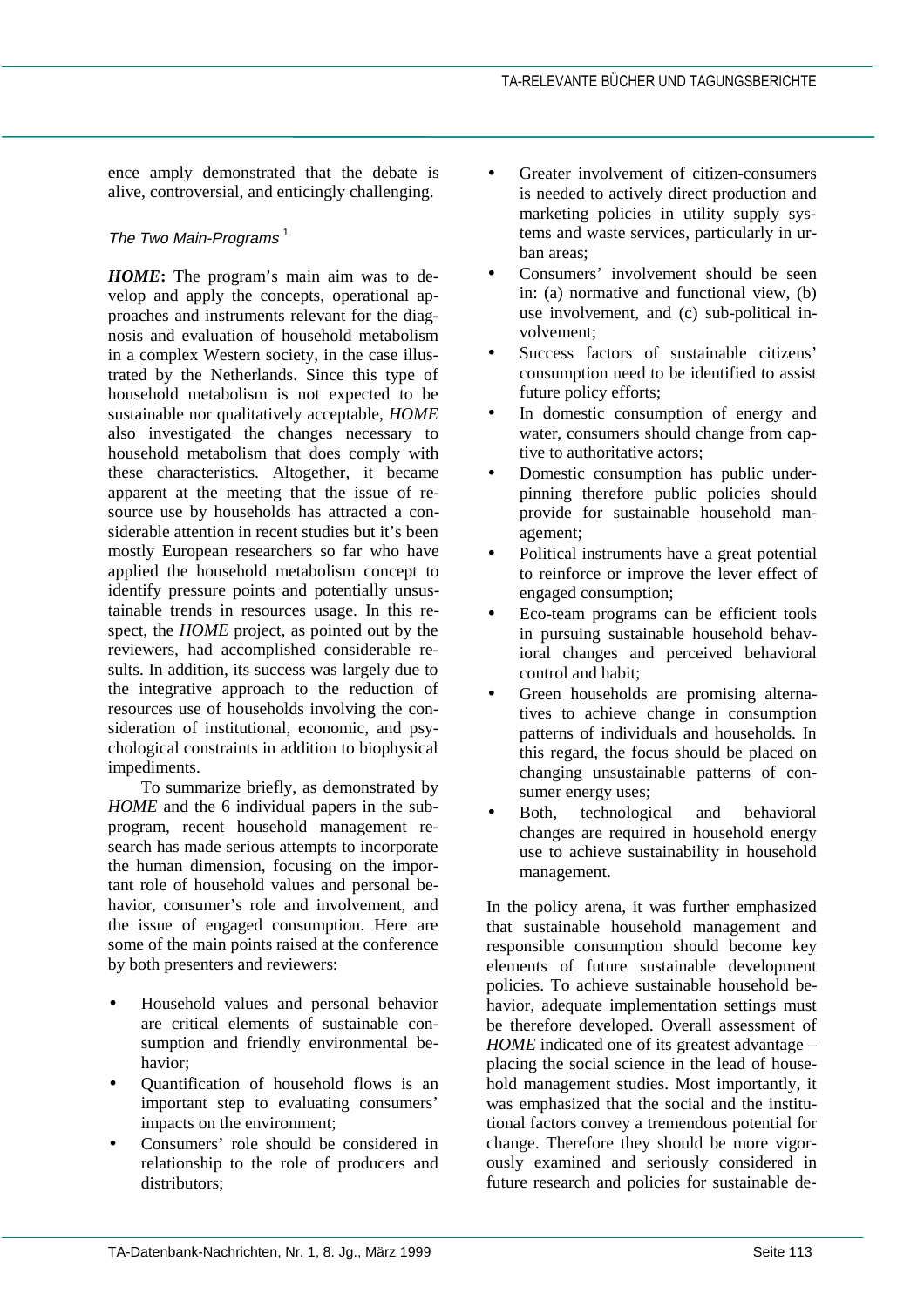ence amply demonstrated that the debate is alive, controversial, and enticingly challenging.

# The Two Main-Programs  $<sup>1</sup>$ </sup>

*HOME***:** The program's main aim was to develop and apply the concepts, operational approaches and instruments relevant for the diagnosis and evaluation of household metabolism in a complex Western society, in the case illustrated by the Netherlands. Since this type of household metabolism is not expected to be sustainable nor qualitatively acceptable, *HOME* also investigated the changes necessary to household metabolism that does comply with these characteristics. Altogether, it became apparent at the meeting that the issue of resource use by households has attracted a considerable attention in recent studies but it's been mostly European researchers so far who have applied the household metabolism concept to identify pressure points and potentially unsustainable trends in resources usage. In this respect, the *HOME* project, as pointed out by the reviewers, had accomplished considerable results. In addition, its success was largely due to the integrative approach to the reduction of resources use of households involving the consideration of institutional, economic, and psychological constraints in addition to biophysical impediments.

To summarize briefly, as demonstrated by *HOME* and the 6 individual papers in the subprogram, recent household management research has made serious attempts to incorporate the human dimension, focusing on the important role of household values and personal behavior, consumer's role and involvement, and the issue of engaged consumption. Here are some of the main points raised at the conference by both presenters and reviewers:

- Household values and personal behavior are critical elements of sustainable consumption and friendly environmental behavior;
- Quantification of household flows is an important step to evaluating consumers' impacts on the environment;
- Consumers' role should be considered in relationship to the role of producers and distributors;
- Greater involvement of citizen-consumers is needed to actively direct production and marketing policies in utility supply systems and waste services, particularly in urban areas;
- Consumers' involvement should be seen in: (a) normative and functional view, (b) use involvement, and (c) sub-political involvement;
- Success factors of sustainable citizens' consumption need to be identified to assist future policy efforts;
- In domestic consumption of energy and water, consumers should change from captive to authoritative actors;
- Domestic consumption has public underpinning therefore public policies should provide for sustainable household management;
- Political instruments have a great potential to reinforce or improve the lever effect of engaged consumption;
- Eco-team programs can be efficient tools in pursuing sustainable household behavioral changes and perceived behavioral control and habit;
- Green households are promising alternatives to achieve change in consumption patterns of individuals and households. In this regard, the focus should be placed on changing unsustainable patterns of consumer energy uses;
- Both, technological and behavioral changes are required in household energy use to achieve sustainability in household management.

In the policy arena, it was further emphasized that sustainable household management and responsible consumption should become key elements of future sustainable development policies. To achieve sustainable household behavior, adequate implementation settings must be therefore developed. Overall assessment of *HOME* indicated one of its greatest advantage – placing the social science in the lead of household management studies. Most importantly, it was emphasized that the social and the institutional factors convey a tremendous potential for change. Therefore they should be more vigorously examined and seriously considered in future research and policies for sustainable de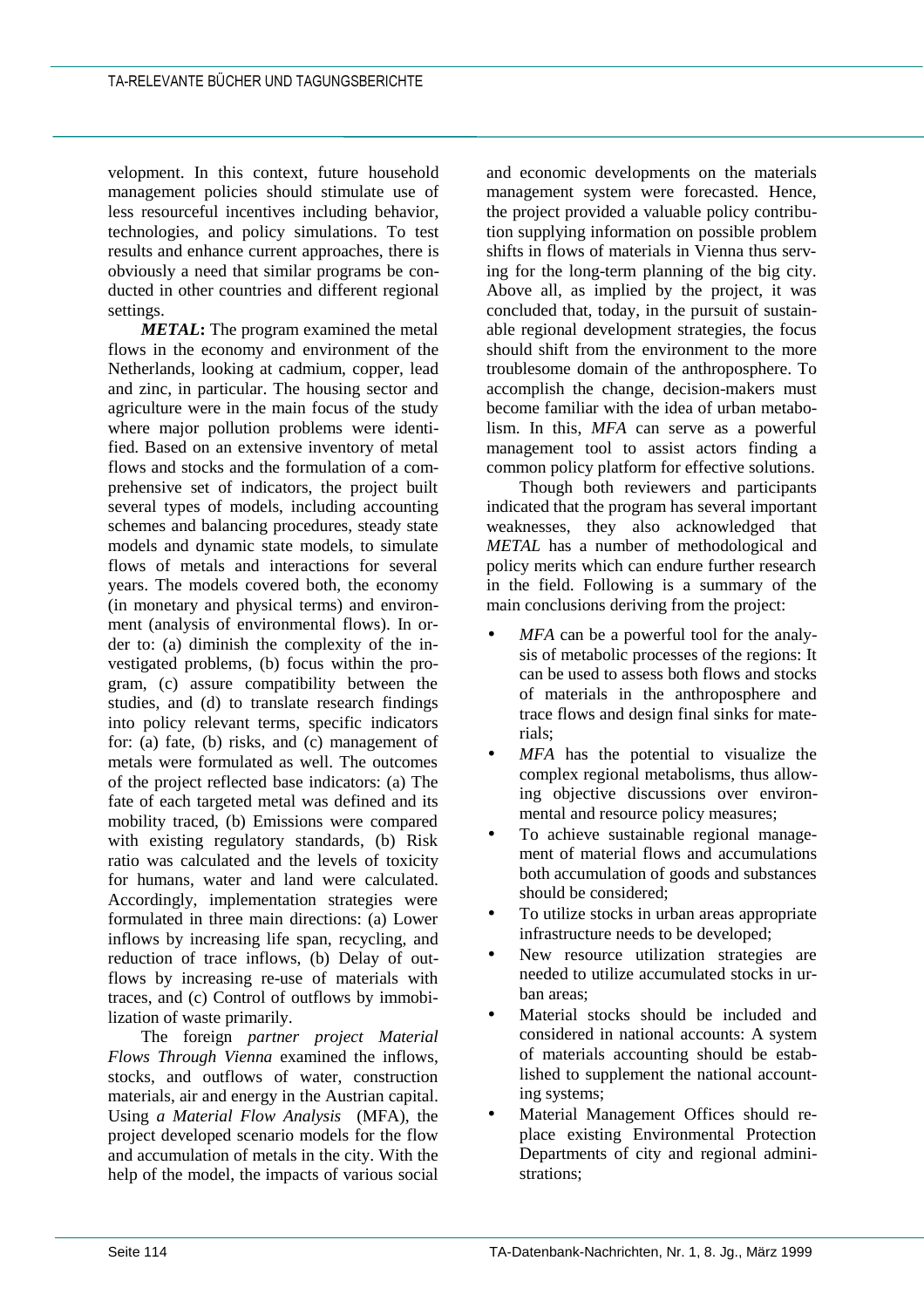velopment. In this context, future household management policies should stimulate use of less resourceful incentives including behavior, technologies, and policy simulations. To test results and enhance current approaches, there is obviously a need that similar programs be conducted in other countries and different regional settings.

*METAL***:** The program examined the metal flows in the economy and environment of the Netherlands, looking at cadmium, copper, lead and zinc, in particular. The housing sector and agriculture were in the main focus of the study where major pollution problems were identified. Based on an extensive inventory of metal flows and stocks and the formulation of a comprehensive set of indicators, the project built several types of models, including accounting schemes and balancing procedures, steady state models and dynamic state models, to simulate flows of metals and interactions for several years. The models covered both, the economy (in monetary and physical terms) and environment (analysis of environmental flows). In order to: (a) diminish the complexity of the investigated problems, (b) focus within the program, (c) assure compatibility between the studies, and (d) to translate research findings into policy relevant terms, specific indicators for: (a) fate, (b) risks, and (c) management of metals were formulated as well. The outcomes of the project reflected base indicators: (a) The fate of each targeted metal was defined and its mobility traced, (b) Emissions were compared with existing regulatory standards, (b) Risk ratio was calculated and the levels of toxicity for humans, water and land were calculated. Accordingly, implementation strategies were formulated in three main directions: (a) Lower inflows by increasing life span, recycling, and reduction of trace inflows, (b) Delay of outflows by increasing re-use of materials with traces, and (c) Control of outflows by immobilization of waste primarily.

The foreign *partner project Material Flows Through Vienna* examined the inflows, stocks, and outflows of water, construction materials, air and energy in the Austrian capital. Using *a Material Flow Analysis* (MFA), the project developed scenario models for the flow and accumulation of metals in the city. With the help of the model, the impacts of various social and economic developments on the materials management system were forecasted. Hence, the project provided a valuable policy contribution supplying information on possible problem shifts in flows of materials in Vienna thus serving for the long-term planning of the big city. Above all, as implied by the project, it was concluded that, today, in the pursuit of sustainable regional development strategies, the focus should shift from the environment to the more troublesome domain of the anthroposphere. To accomplish the change, decision-makers must become familiar with the idea of urban metabolism. In this, *MFA* can serve as a powerful management tool to assist actors finding a common policy platform for effective solutions.

Though both reviewers and participants indicated that the program has several important weaknesses, they also acknowledged that *METAL* has a number of methodological and policy merits which can endure further research in the field. Following is a summary of the main conclusions deriving from the project:

- *MFA* can be a powerful tool for the analysis of metabolic processes of the regions: It can be used to assess both flows and stocks of materials in the anthroposphere and trace flows and design final sinks for materials;
- *MFA* has the potential to visualize the complex regional metabolisms, thus allowing objective discussions over environmental and resource policy measures;
- To achieve sustainable regional management of material flows and accumulations both accumulation of goods and substances should be considered;
- To utilize stocks in urban areas appropriate infrastructure needs to be developed;
- New resource utilization strategies are needed to utilize accumulated stocks in urban areas;
- Material stocks should be included and considered in national accounts: A system of materials accounting should be established to supplement the national accounting systems;
- Material Management Offices should replace existing Environmental Protection Departments of city and regional administrations;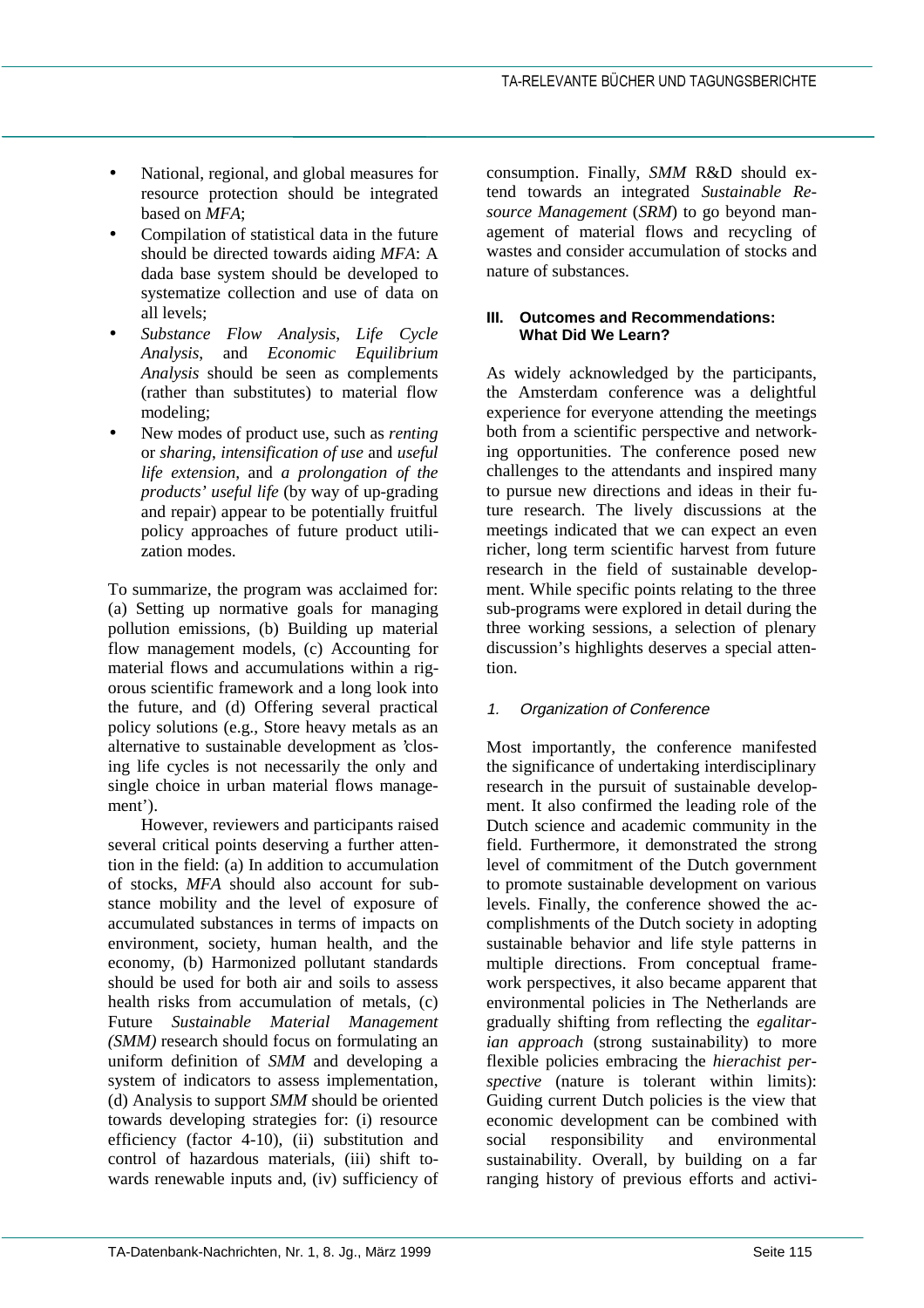- National, regional, and global measures for resource protection should be integrated based on *MFA*;
- Compilation of statistical data in the future should be directed towards aiding *MFA*: A dada base system should be developed to systematize collection and use of data on all levels;
- *Substance Flow Analysis*, *Life Cycle Analysis*, and *Economic Equilibrium Analysis* should be seen as complements (rather than substitutes) to material flow modeling;
- New modes of product use, such as *renting* or *sharing*, *intensification of use* and *useful life extension*, and *a prolongation of the products' useful life* (by way of up-grading and repair) appear to be potentially fruitful policy approaches of future product utilization modes.

To summarize, the program was acclaimed for: (a) Setting up normative goals for managing pollution emissions*,* (b) Building up material flow management models, (c) Accounting for material flows and accumulations within a rigorous scientific framework and a long look into the future, and (d) Offering several practical policy solutions (e.g., Store heavy metals as an alternative to sustainable development as 'closing life cycles is not necessarily the only and single choice in urban material flows management').

However, reviewers and participants raised several critical points deserving a further attention in the field: (a) In addition to accumulation of stocks, *MFA* should also account for substance mobility and the level of exposure of accumulated substances in terms of impacts on environment, society, human health, and the economy, (b) Harmonized pollutant standards should be used for both air and soils to assess health risks from accumulation of metals, (c) Future *Sustainable Material Management (SMM)* research should focus on formulating an uniform definition of *SMM* and developing a system of indicators to assess implementation, (d) Analysis to support *SMM* should be oriented towards developing strategies for: (i) resource efficiency (factor 4-10), (ii) substitution and control of hazardous materials, (iii) shift towards renewable inputs and, (iv) sufficiency of consumption. Finally, *SMM* R&D should extend towards an integrated *Sustainable Resource Management* (*SRM*) to go beyond management of material flows and recycling of wastes and consider accumulation of stocks and nature of substances.

### **III. Outcomes and Recommendations: What Did We Learn?**

As widely acknowledged by the participants, the Amsterdam conference was a delightful experience for everyone attending the meetings both from a scientific perspective and networking opportunities. The conference posed new challenges to the attendants and inspired many to pursue new directions and ideas in their future research. The lively discussions at the meetings indicated that we can expect an even richer, long term scientific harvest from future research in the field of sustainable development. While specific points relating to the three sub-programs were explored in detail during the three working sessions, a selection of plenary discussion's highlights deserves a special attention.

# 1. Organization of Conference

Most importantly, the conference manifested the significance of undertaking interdisciplinary research in the pursuit of sustainable development. It also confirmed the leading role of the Dutch science and academic community in the field. Furthermore, it demonstrated the strong level of commitment of the Dutch government to promote sustainable development on various levels. Finally, the conference showed the accomplishments of the Dutch society in adopting sustainable behavior and life style patterns in multiple directions. From conceptual framework perspectives, it also became apparent that environmental policies in The Netherlands are gradually shifting from reflecting the *egalitarian approach* (strong sustainability) to more flexible policies embracing the *hierachist perspective* (nature is tolerant within limits): Guiding current Dutch policies is the view that economic development can be combined with social responsibility and environmental sustainability. Overall, by building on a far ranging history of previous efforts and activi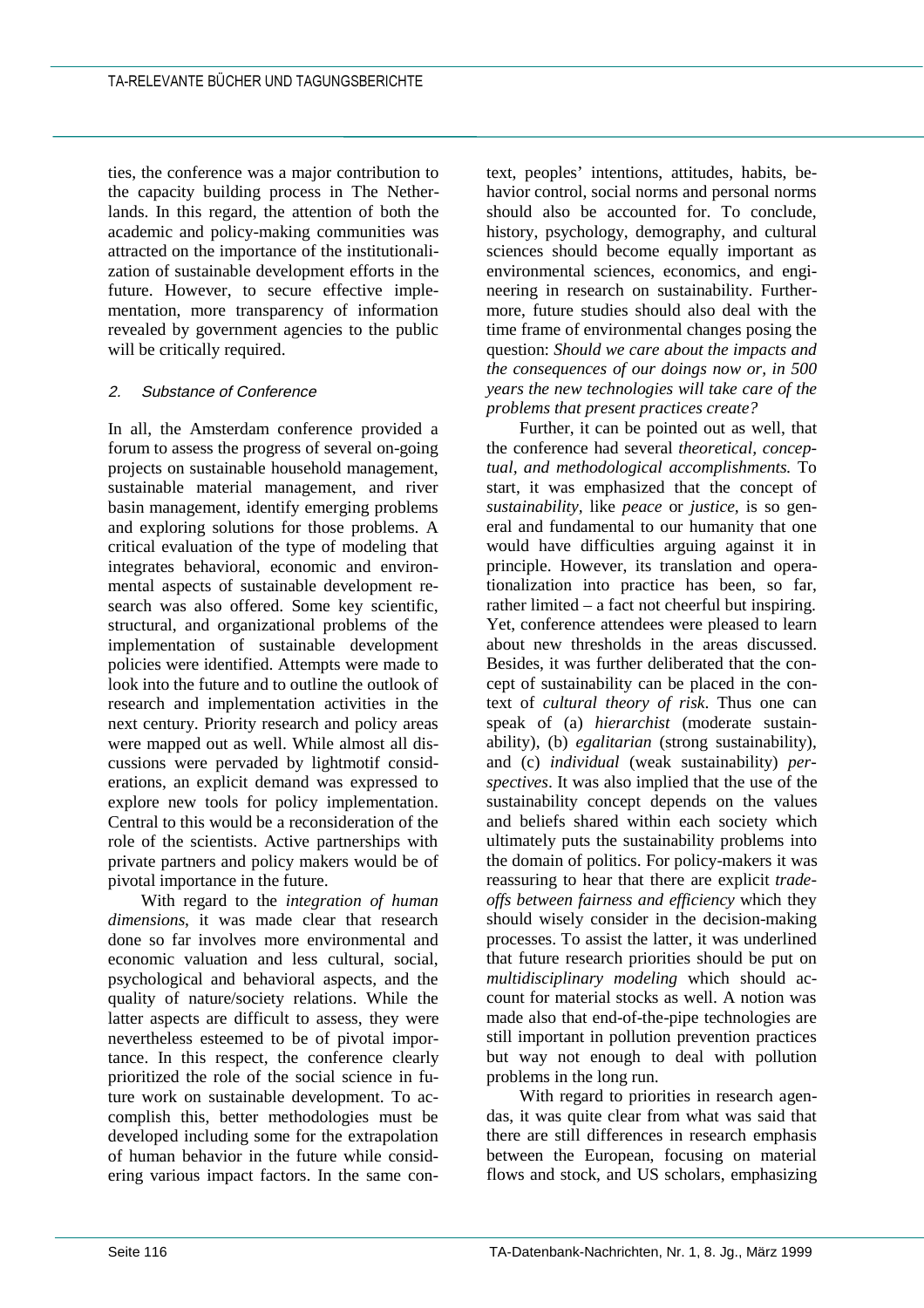ties, the conference was a major contribution to the capacity building process in The Netherlands. In this regard, the attention of both the academic and policy-making communities was attracted on the importance of the institutionalization of sustainable development efforts in the future. However, to secure effective implementation, more transparency of information revealed by government agencies to the public will be critically required.

## 2. Substance of Conference

In all, the Amsterdam conference provided a forum to assess the progress of several on-going projects on sustainable household management, sustainable material management, and river basin management, identify emerging problems and exploring solutions for those problems. A critical evaluation of the type of modeling that integrates behavioral, economic and environmental aspects of sustainable development research was also offered. Some key scientific, structural, and organizational problems of the implementation of sustainable development policies were identified. Attempts were made to look into the future and to outline the outlook of research and implementation activities in the next century. Priority research and policy areas were mapped out as well. While almost all discussions were pervaded by lightmotif considerations, an explicit demand was expressed to explore new tools for policy implementation. Central to this would be a reconsideration of the role of the scientists. Active partnerships with private partners and policy makers would be of pivotal importance in the future.

With regard to the *integration of human dimensions*, it was made clear that research done so far involves more environmental and economic valuation and less cultural, social, psychological and behavioral aspects, and the quality of nature/society relations. While the latter aspects are difficult to assess, they were nevertheless esteemed to be of pivotal importance. In this respect, the conference clearly prioritized the role of the social science in future work on sustainable development. To accomplish this, better methodologies must be developed including some for the extrapolation of human behavior in the future while considering various impact factors. In the same con-

text, peoples' intentions, attitudes, habits, behavior control, social norms and personal norms should also be accounted for. To conclude, history, psychology, demography, and cultural sciences should become equally important as environmental sciences, economics, and engineering in research on sustainability. Furthermore, future studies should also deal with the time frame of environmental changes posing the question: *Should we care about the impacts and the consequences of our doings now or, in 500 years the new technologies will take care of the problems that present practices create?*

Further, it can be pointed out as well, that the conference had several *theoretical, conceptual, and methodological accomplishments.* To start, it was emphasized that the concept of *sustainability,* like *peace* or *justice,* is so general and fundamental to our humanity that one would have difficulties arguing against it in principle. However, its translation and operationalization into practice has been, so far, rather limited – a fact not cheerful but inspiring. Yet, conference attendees were pleased to learn about new thresholds in the areas discussed. Besides, it was further deliberated that the concept of sustainability can be placed in the context of *cultural theory of risk*. Thus one can speak of (a) *hierarchist* (moderate sustainability), (b) *egalitarian* (strong sustainability), and (c) *individual* (weak sustainability) *perspectives*. It was also implied that the use of the sustainability concept depends on the values and beliefs shared within each society which ultimately puts the sustainability problems into the domain of politics. For policy-makers it was reassuring to hear that there are explicit *tradeoffs between fairness and efficiency* which they should wisely consider in the decision-making processes. To assist the latter, it was underlined that future research priorities should be put on *multidisciplinary modeling* which should account for material stocks as well. A notion was made also that end-of-the-pipe technologies are still important in pollution prevention practices but way not enough to deal with pollution problems in the long run.

With regard to priorities in research agendas, it was quite clear from what was said that there are still differences in research emphasis between the European, focusing on material flows and stock, and US scholars, emphasizing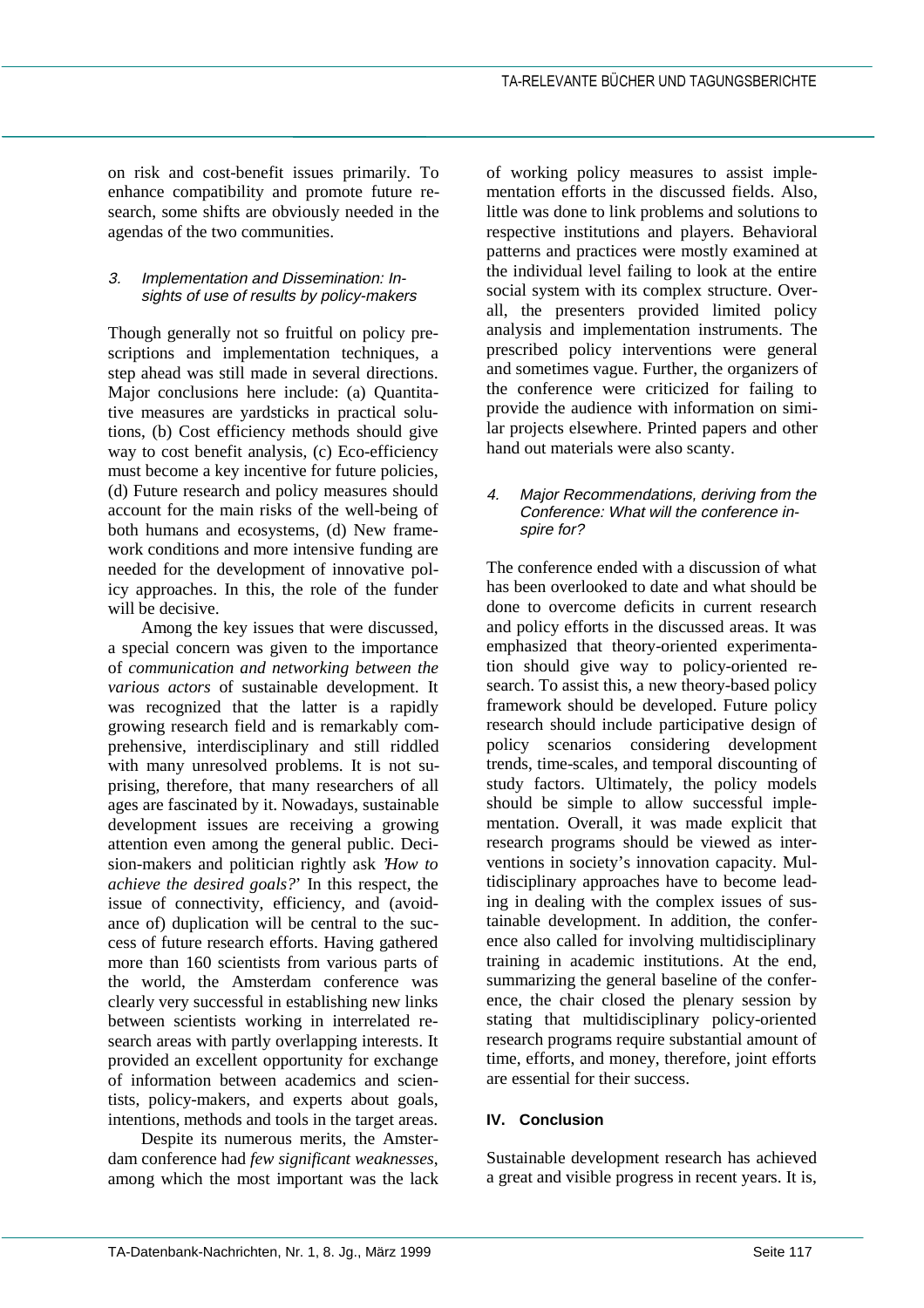on risk and cost-benefit issues primarily. To enhance compatibility and promote future research, some shifts are obviously needed in the agendas of the two communities.

### 3. Implementation and Dissemination: Insights of use of results by policy-makers

Though generally not so fruitful on policy prescriptions and implementation techniques, a step ahead was still made in several directions. Major conclusions here include: (a) Quantitative measures are yardsticks in practical solutions, (b) Cost efficiency methods should give way to cost benefit analysis, (c) Eco-efficiency must become a key incentive for future policies, (d) Future research and policy measures should account for the main risks of the well-being of both humans and ecosystems, (d) New framework conditions and more intensive funding are needed for the development of innovative policy approaches. In this, the role of the funder will be decisive.

Among the key issues that were discussed, a special concern was given to the importance of *communication and networking between the various actors* of sustainable development. It was recognized that the latter is a rapidly growing research field and is remarkably comprehensive, interdisciplinary and still riddled with many unresolved problems. It is not suprising, therefore, that many researchers of all ages are fascinated by it. Nowadays, sustainable development issues are receiving a growing attention even among the general public. Decision-makers and politician rightly ask *'How to achieve the desired goals?*' In this respect, the issue of connectivity, efficiency, and (avoidance of) duplication will be central to the success of future research efforts. Having gathered more than 160 scientists from various parts of the world, the Amsterdam conference was clearly very successful in establishing new links between scientists working in interrelated research areas with partly overlapping interests. It provided an excellent opportunity for exchange of information between academics and scientists, policy-makers, and experts about goals, intentions, methods and tools in the target areas.

Despite its numerous merits, the Amsterdam conference had *few significant weaknesses*, among which the most important was the lack

of working policy measures to assist implementation efforts in the discussed fields. Also, little was done to link problems and solutions to respective institutions and players. Behavioral patterns and practices were mostly examined at the individual level failing to look at the entire social system with its complex structure. Overall, the presenters provided limited policy analysis and implementation instruments. The prescribed policy interventions were general and sometimes vague. Further, the organizers of the conference were criticized for failing to provide the audience with information on similar projects elsewhere. Printed papers and other hand out materials were also scanty.

#### 4. Major Recommendations, deriving from the Conference: What will the conference inspire for?

The conference ended with a discussion of what has been overlooked to date and what should be done to overcome deficits in current research and policy efforts in the discussed areas. It was emphasized that theory-oriented experimentation should give way to policy-oriented research. To assist this, a new theory-based policy framework should be developed. Future policy research should include participative design of policy scenarios considering development trends, time-scales, and temporal discounting of study factors. Ultimately, the policy models should be simple to allow successful implementation. Overall, it was made explicit that research programs should be viewed as interventions in society's innovation capacity. Multidisciplinary approaches have to become leading in dealing with the complex issues of sustainable development. In addition, the conference also called for involving multidisciplinary training in academic institutions. At the end, summarizing the general baseline of the conference, the chair closed the plenary session by stating that multidisciplinary policy-oriented research programs require substantial amount of time, efforts, and money, therefore, joint efforts are essential for their success.

## **IV. Conclusion**

Sustainable development research has achieved a great and visible progress in recent years. It is,